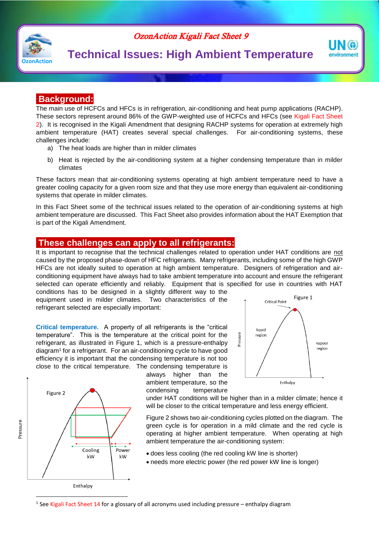

### OzonAction Kigali Fact Sheet 9

# **Technical Issues: High Ambient Temperature**

### **Background:**

The main use of HCFCs and HFCs is in refrigeration, air-conditioning and heat pump applications (RACHP). These sectors represent around 86% of the GWP-weighted use of HCFCs and HFCs (see Kigali Fact Sheet 2). It is recognised in the Kigali Amendment that designing RACHP systems for operation at extremely high ambient temperature (HAT) creates several special challenges. For air-conditioning systems, these challenges include:

- a) The heat loads are higher than in milder climates
- b) Heat is rejected by the air-conditioning system at a higher condensing temperature than in milder climates

These factors mean that air-conditioning systems operating at high ambient temperature need to have a greater cooling capacity for a given room size and that they use more energy than equivalent air-conditioning systems that operate in milder climates.

In this Fact Sheet some of the technical issues related to the operation of air-conditioning systems at high ambient temperature are discussed. This Fact Sheet also provides information about the HAT Exemption that is part of the Kigali Amendment.

#### **These challenges can apply to all refrigerants:**

It is important to recognise that the technical challenges related to operation under HAT conditions are not caused by the proposed phase-down of HFC refrigerants. Many refrigerants, including some of the high GWP HFCs are not ideally suited to operation at high ambient temperature. Designers of refrigeration and airconditioning equipment have always had to take ambient temperature into account and ensure the refrigerant selected can operate efficiently and reliably. Equipment that is specified for use in countries with HAT

conditions has to be designed in a slightly different way to the equipment used in milder climates. Two characteristics of the refrigerant selected are especially important:

**Critical temperature.** A property of all refrigerants is the "critical temperature". This is the temperature at the critical point for the refrigerant, as illustrated in Figure 1, which is a pressure-enthalpy diagram<sup>1</sup> for a refrigerant. For an air-conditioning cycle to have good efficiency it is important that the condensing temperature is not too close to the critical temperature. The condensing temperature is



always higher than the ambient temperature, so the condensing temperature

Figure 1 **Critical Point** liquid Pressure region vapour region Enthalpy

NG environment

under HAT conditions will be higher than in a milder climate; hence it will be closer to the critical temperature and less energy efficient.

Figure 2 shows two air-conditioning cycles plotted on the diagram. The green cycle is for operation in a mild climate and the red cycle is operating at higher ambient temperature. When operating at high ambient temperature the air-conditioning system:

- does less cooling (the red cooling kW line is shorter)
- needs more electric power (the red power kW line is longer)

Enthalpy

 $\overline{a}$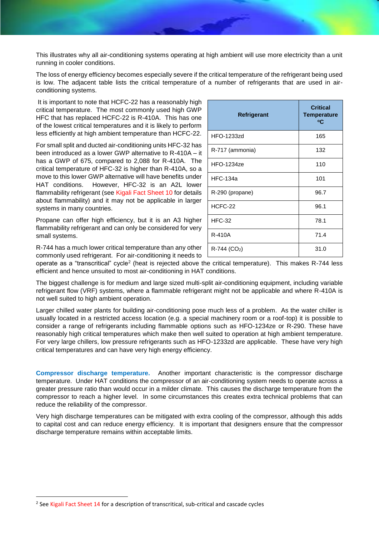This illustrates why all air-conditioning systems operating at high ambient will use more electricity than a unit running in cooler conditions.

The loss of energy efficiency becomes especially severe if the critical temperature of the refrigerant being used is low. The adjacent table lists the critical temperature of a number of refrigerants that are used in airconditioning systems.

It is important to note that HCFC-22 has a reasonably high critical temperature. The most commonly used high GWP HFC that has replaced HCFC-22 is R-410A. This has one of the lowest critical temperatures and it is likely to perform less efficiently at high ambient temperature than HCFC-22.

For small split and ducted air-conditioning units HFC-32 has been introduced as a lower GWP alternative to R-410A – it has a GWP of 675, compared to 2,088 for R-410A. The critical temperature of HFC-32 is higher than R-410A, so a move to this lower GWP alternative will have benefits under HAT conditions. However, HFC-32 is an A2L lower flammability refrigerant (see Kigali Fact Sheet 10 for details about flammability) and it may not be applicable in larger systems in many countries.

Propane can offer high efficiency, but it is an A3 higher flammability refrigerant and can only be considered for very small systems.

R-744 has a much lower critical temperature than any other commonly used refrigerant. For air-conditioning it needs to

| Refrigerant                | <b>Critical</b><br><b>Temperature</b><br>°C |
|----------------------------|---------------------------------------------|
| <b>HFO-1233zd</b>          | 165                                         |
| R-717 (ammonia)            | 132                                         |
| <b>HFO-1234ze</b>          | 110                                         |
| <b>HFC-134a</b>            | 101                                         |
| R-290 (propane)            | 96.7                                        |
| HCFC-22                    | 96.1                                        |
| <b>HFC-32</b>              | 78.1                                        |
| R-410A                     | 71.4                                        |
| $R-744$ (CO <sub>2</sub> ) | 31.0                                        |

operate as a "transcritical" cycle<sup>2</sup> (heat is rejected above the critical temperature). This makes R-744 less efficient and hence unsuited to most air-conditioning in HAT conditions.

The biggest challenge is for medium and large sized multi-split air-conditioning equipment, including variable refrigerant flow (VRF) systems, where a flammable refrigerant might not be applicable and where R-410A is not well suited to high ambient operation.

Larger chilled water plants for building air-conditioning pose much less of a problem. As the water chiller is usually located in a restricted access location (e.g. a special machinery room or a roof-top) it is possible to consider a range of refrigerants including flammable options such as HFO-1234ze or R-290. These have reasonably high critical temperatures which make then well suited to operation at high ambient temperature. For very large chillers, low pressure refrigerants such as HFO-1233zd are applicable. These have very high critical temperatures and can have very high energy efficiency.

**Compressor discharge temperature.** Another important characteristic is the compressor discharge temperature. Under HAT conditions the compressor of an air-conditioning system needs to operate across a greater pressure ratio than would occur in a milder climate. This causes the discharge temperature from the compressor to reach a higher level. In some circumstances this creates extra technical problems that can reduce the reliability of the compressor.

Very high discharge temperatures can be mitigated with extra cooling of the compressor, although this adds to capital cost and can reduce energy efficiency. It is important that designers ensure that the compressor discharge temperature remains within acceptable limits.

 $\overline{a}$ 

<sup>&</sup>lt;sup>2</sup> See Kigali Fact Sheet 14 for a description of transcritical, sub-critical and cascade cycles